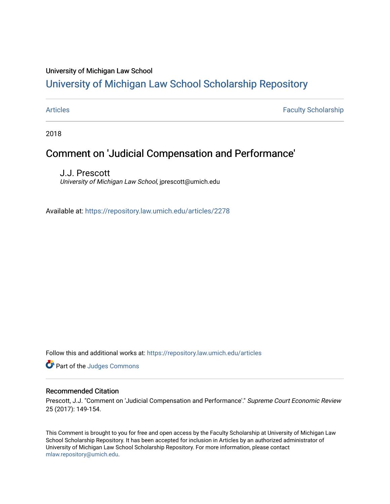## University of Michigan Law School

# [University of Michigan Law School Scholarship Repository](https://repository.law.umich.edu/)

[Articles](https://repository.law.umich.edu/articles) **Faculty Scholarship** Faculty Scholarship

2018

# Comment on 'Judicial Compensation and Performance'

J.J. Prescott University of Michigan Law School, jprescott@umich.edu

Available at: <https://repository.law.umich.edu/articles/2278>

Follow this and additional works at: [https://repository.law.umich.edu/articles](https://repository.law.umich.edu/articles?utm_source=repository.law.umich.edu%2Farticles%2F2278&utm_medium=PDF&utm_campaign=PDFCoverPages) 

Part of the [Judges Commons](http://network.bepress.com/hgg/discipline/849?utm_source=repository.law.umich.edu%2Farticles%2F2278&utm_medium=PDF&utm_campaign=PDFCoverPages) 

### Recommended Citation

Prescott, J.J. "Comment on 'Judicial Compensation and Performance'." Supreme Court Economic Review 25 (2017): 149-154.

This Comment is brought to you for free and open access by the Faculty Scholarship at University of Michigan Law School Scholarship Repository. It has been accepted for inclusion in Articles by an authorized administrator of University of Michigan Law School Scholarship Repository. For more information, please contact [mlaw.repository@umich.edu.](mailto:mlaw.repository@umich.edu)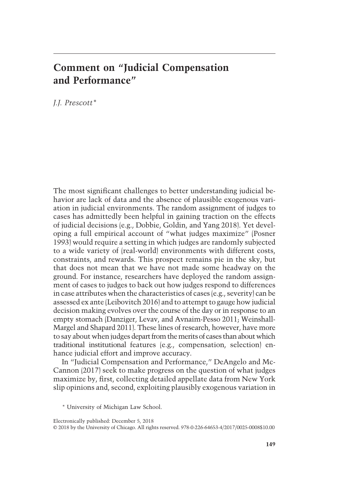# Comment on "Judicial Compensation and Performance"

J.J. Prescott\*

The most significant challenges to better understanding judicial behavior are lack of data and the absence of plausible exogenous variation in judicial environments. The random assignment of judges to cases has admittedly been helpful in gaining traction on the effects of judicial decisions (e.g., Dobbie, Goldin, and Yang 2018). Yet developing a full empirical account of "what judges maximize" (Posner 1993) would require a setting in which judges are randomly subjected to a wide variety of (real-world) environments with different costs, constraints, and rewards. This prospect remains pie in the sky, but that does not mean that we have not made some headway on the ground. For instance, researchers have deployed the random assignment of cases to judges to back out how judges respond to differences in case attributes when the characteristics of cases (e.g., severity) can be assessed ex ante (Leibovitch 2016) and to attempt to gauge how judicial decision making evolves over the course of the day or in response to an empty stomach (Danziger, Levav, and Avnaim-Pesso 2011; Weinshall-Margel and Shapard 2011). These lines of research, however, have more to say about when judges depart from themerits of cases than aboutwhich traditional institutional features (e.g., compensation, selection) enhance judicial effort and improve accuracy.

In "Judicial Compensation and Performance," DeAngelo and Mc-Cannon (2017) seek to make progress on the question of what judges maximize by, first, collecting detailed appellate data from New York slip opinions and, second, exploiting plausibly exogenous variation in

<sup>\*</sup> University of Michigan Law School.

<sup>© 2018</sup> by the University of Chicago. All rights reserved. 978-0-226-64653-4/2017/0025-0008\$10.00 Electronically published: December 5, 2018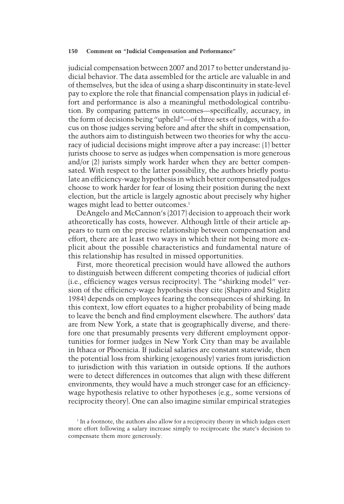#### 150 Comment on "Judicial Compensation and Performance"

judicial compensation between 2007 and 2017 to better understand judicial behavior. The data assembled for the article are valuable in and of themselves, but the idea of using a sharp discontinuity in state-level pay to explore the role that financial compensation plays in judicial effort and performance is also a meaningful methodological contribution. By comparing patterns in outcomes—specifically, accuracy, in the form of decisions being "upheld"—of three sets of judges, with a focus on those judges serving before and after the shift in compensation, the authors aim to distinguish between two theories for why the accuracy of judicial decisions might improve after a pay increase: (1) better jurists choose to serve as judges when compensation is more generous and/or (2) jurists simply work harder when they are better compensated. With respect to the latter possibility, the authors briefly postulate an efficiency-wage hypothesis in which better compensated judges choose to work harder for fear of losing their position during the next election, but the article is largely agnostic about precisely why higher wages might lead to better outcomes.<sup>1</sup>

DeAngelo and McCannon's (2017) decision to approach their work atheoretically has costs, however. Although little of their article appears to turn on the precise relationship between compensation and effort, there are at least two ways in which their not being more explicit about the possible characteristics and fundamental nature of this relationship has resulted in missed opportunities.

First, more theoretical precision would have allowed the authors to distinguish between different competing theories of judicial effort (i.e., efficiency wages versus reciprocity). The "shirking model" version of the efficiency-wage hypothesis they cite (Shapiro and Stiglitz 1984) depends on employees fearing the consequences of shirking. In this context, low effort equates to a higher probability of being made to leave the bench and find employment elsewhere. The authors' data are from New York, a state that is geographically diverse, and therefore one that presumably presents very different employment opportunities for former judges in New York City than may be available in Ithaca or Phoenicia. If judicial salaries are constant statewide, then the potential loss from shirking (exogenously) varies from jurisdiction to jurisdiction with this variation in outside options. If the authors were to detect differences in outcomes that align with these different environments, they would have a much stronger case for an efficiencywage hypothesis relative to other hypotheses (e.g., some versions of reciprocity theory). One can also imagine similar empirical strategies

 $1$  In a footnote, the authors also allow for a reciprocity theory in which judges exert more effort following a salary increase simply to reciprocate the state's decision to compensate them more generously.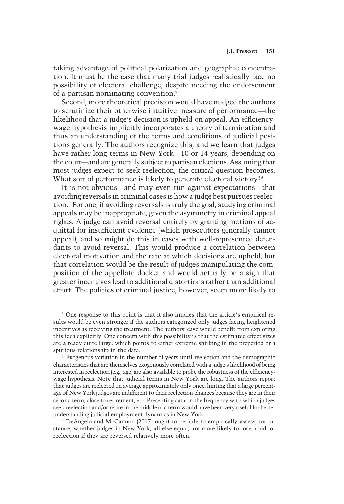taking advantage of political polarization and geographic concentration. It must be the case that many trial judges realistically face no possibility of electoral challenge, despite needing the endorsement of a partisan nominating convention.2

Second, more theoretical precision would have nudged the authors to scrutinize their otherwise intuitive measure of performance—the likelihood that a judge's decision is upheld on appeal. An efficiencywage hypothesis implicitly incorporates a theory of termination and thus an understanding of the terms and conditions of judicial positions generally. The authors recognize this, and we learn that judges have rather long terms in New York—10 or 14 years, depending on the court—and are generally subject to partisan elections. Assuming that most judges expect to seek reelection, the critical question becomes, What sort of performance is likely to generate electoral victory?<sup>3</sup>

It is not obvious—and may even run against expectations—that avoiding reversals in criminal cases is how a judge best pursues reelection.4 For one, if avoiding reversals is truly the goal, studying criminal appeals may be inappropriate, given the asymmetry in criminal appeal rights. A judge can avoid reversal entirely by granting motions of acquittal for insufficient evidence (which prosecutors generally cannot appeal), and so might do this in cases with well-represented defendants to avoid reversal. This would produce a correlation between electoral motivation and the rate at which decisions are upheld, but that correlation would be the result of judges manipulating the composition of the appellate docket and would actually be a sign that greater incentives lead to additional distortions rather than additional effort. The politics of criminal justice, however, seem more likely to

<sup>2</sup> One response to this point is that it also implies that the article's empirical results would be even stronger if the authors categorized only judges facing heightened incentives as receiving the treatment. The authors' case would benefit from exploring this idea explicitly. One concern with this possibility is that the estimated effect sizes are already quite large, which points to either extreme shirking in the preperiod or a spurious relationship in the data.

<sup>3</sup> Exogenous variation in the number of years until reelection and the demographic characteristics that are themselves exogenously correlated with a judge's likelihood of being interested in reelection (e.g., age) are also available to probe the robustness of the efficiencywage hypothesis. Note that judicial terms in New York are long. The authors report that judges are reelected on average approximately only once, hinting that a large percentage of New York judges are indifferent to their reelection chances because they are in their second term, close to retirement, etc. Presenting data on the frequency with which judges seek reelection and/or retire in the middle of a term would have been very useful for better understanding judicial employment dynamics in New York.

<sup>4</sup> DeAngelo and McCannon (2017) ought to be able to empirically assess, for instance, whether judges in New York, all else equal, are more likely to lose a bid for reelection if they are reversed relatively more often.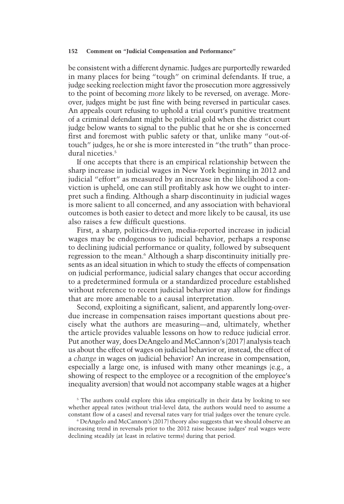#### 152 Comment on "Judicial Compensation and Performance"

be consistent with a different dynamic. Judges are purportedly rewarded in many places for being "tough" on criminal defendants. If true, a judge seeking reelection might favor the prosecution more aggressively to the point of becoming more likely to be reversed, on average. Moreover, judges might be just fine with being reversed in particular cases. An appeals court refusing to uphold a trial court's punitive treatment of a criminal defendant might be political gold when the district court judge below wants to signal to the public that he or she is concerned first and foremost with public safety or that, unlike many "out-oftouch" judges, he or she is more interested in "the truth" than procedural niceties.<sup>5</sup>

If one accepts that there is an empirical relationship between the sharp increase in judicial wages in New York beginning in 2012 and judicial "effort" as measured by an increase in the likelihood a conviction is upheld, one can still profitably ask how we ought to interpret such a finding. Although a sharp discontinuity in judicial wages is more salient to all concerned, and any association with behavioral outcomes is both easier to detect and more likely to be causal, its use also raises a few difficult questions.

First, a sharp, politics-driven, media-reported increase in judicial wages may be endogenous to judicial behavior, perhaps a response to declining judicial performance or quality, followed by subsequent regression to the mean.<sup>6</sup> Although a sharp discontinuity initially presents as an ideal situation in which to study the effects of compensation on judicial performance, judicial salary changes that occur according to a predetermined formula or a standardized procedure established without reference to recent judicial behavior may allow for findings that are more amenable to a causal interpretation.

Second, exploiting a significant, salient, and apparently long-overdue increase in compensation raises important questions about precisely what the authors are measuring—and, ultimately, whether the article provides valuable lessons on how to reduce judicial error. Put another way, does DeAngelo and McCannon's (2017) analysis teach us about the effect of wages on judicial behavior or, instead, the effect of a change in wages on judicial behavior? An increase in compensation, especially a large one, is infused with many other meanings (e.g., a showing of respect to the employee or a recognition of the employee's inequality aversion) that would not accompany stable wages at a higher

<sup>5</sup> The authors could explore this idea empirically in their data by looking to see whether appeal rates (without trial-level data, the authors would need to assume a constant flow of a cases) and reversal rates vary for trial judges over the tenure cycle.

<sup>6</sup> DeAngelo and McCannon's (2017) theory also suggests that we should observe an increasing trend in reversals prior to the 2012 raise because judges' real wages were declining steadily (at least in relative terms) during that period.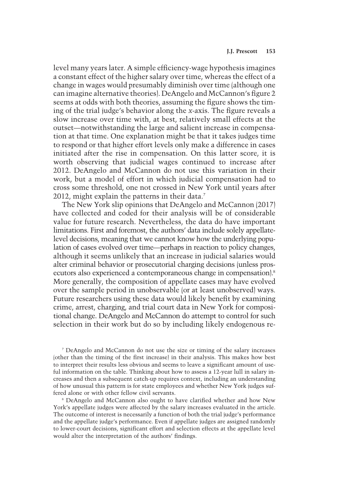level many years later. A simple efficiency-wage hypothesis imagines a constant effect of the higher salary over time, whereas the effect of a change in wages would presumably diminish over time (although one can imagine alternative theories). DeAngelo and McCannon's figure 2 seems at odds with both theories, assuming the figure shows the timing of the trial judge's behavior along the x-axis. The figure reveals a slow increase over time with, at best, relatively small effects at the outset—notwithstanding the large and salient increase in compensation at that time. One explanation might be that it takes judges time to respond or that higher effort levels only make a difference in cases initiated after the rise in compensation. On this latter score, it is worth observing that judicial wages continued to increase after 2012. DeAngelo and McCannon do not use this variation in their work, but a model of effort in which judicial compensation had to cross some threshold, one not crossed in New York until years after 2012, might explain the patterns in their data.<sup>7</sup>

The New York slip opinions that DeAngelo and McCannon (2017) have collected and coded for their analysis will be of considerable value for future research. Nevertheless, the data do have important limitations. First and foremost, the authors' data include solely appellatelevel decisions, meaning that we cannot know how the underlying population of cases evolved over time—perhaps in reaction to policy changes, although it seems unlikely that an increase in judicial salaries would alter criminal behavior or prosecutorial charging decisions (unless prosecutors also experienced a contemporaneous change in compensation).<sup>8</sup> More generally, the composition of appellate cases may have evolved over the sample period in unobservable (or at least unobserved) ways. Future researchers using these data would likely benefit by examining crime, arrest, charging, and trial court data in New York for compositional change. DeAngelo and McCannon do attempt to control for such selection in their work but do so by including likely endogenous re-

<sup>7</sup> DeAngelo and McCannon do not use the size or timing of the salary increases (other than the timing of the first increase) in their analysis. This makes how best to interpret their results less obvious and seems to leave a significant amount of useful information on the table. Thinking about how to assess a 12-year lull in salary increases and then a subsequent catch-up requires context, including an understanding of how unusual this pattern is for state employees and whether New York judges suffered alone or with other fellow civil servants.

<sup>8</sup> DeAngelo and McCannon also ought to have clarified whether and how New York's appellate judges were affected by the salary increases evaluated in the article. The outcome of interest is necessarily a function of both the trial judge's performance and the appellate judge's performance. Even if appellate judges are assigned randomly to lower-court decisions, significant effort and selection effects at the appellate level would alter the interpretation of the authors' findings.